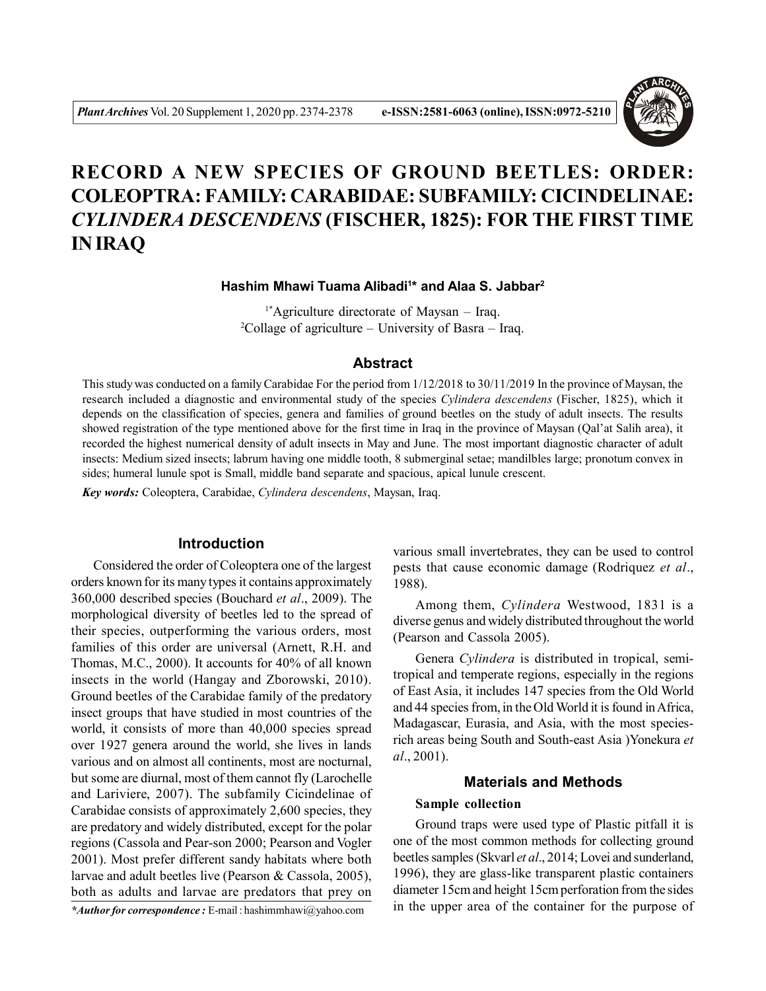

# **RECORD A NEW SPECIES OF GROUND BEETLES: ORDER: COLEOPTRA: FAMILY: CARABIDAE: SUBFAMILY: CICINDELINAE:** *CYLINDERA DESCENDENS* **(FISCHER, 1825): FOR THE FIRST TIME IN IRAQ**

## **Hashim Mhawi Tuama Alibadi<sup>1</sup> \* and Alaa S. Jabbar<sup>2</sup>**

1\*Agriculture directorate of Maysan – Iraq. <sup>2</sup>Collage of agriculture – University of Basra – Iraq.

### **Abstract**

This study was conducted on a family Carabidae For the period from 1/12/2018 to 30/11/2019 In the province of Maysan, the research included a diagnostic and environmental study of the species *Cylindera descendens* (Fischer, 1825), which it depends on the classification of species, genera and families of ground beetles on the study of adult insects. The results showed registration of the type mentioned above for the first time in Iraq in the province of Maysan (Qal'at Salih area), it recorded the highest numerical density of adult insects in May and June. The most important diagnostic character of adult insects: Medium sized insects; labrum having one middle tooth, 8 submerginal setae; mandilbles large; pronotum convex in sides; humeral lunule spot is Small, middle band separate and spacious, apical lunule crescent.

*Key words:* Coleoptera, Carabidae, *Cylindera descendens*, Maysan, Iraq.

## **Introduction**

Considered the order of Coleoptera one of the largest orders known for its many types it contains approximately 360,000 described species (Bouchard *et al*., 2009). The morphological diversity of beetles led to the spread of their species, outperforming the various orders, most families of this order are universal (Arnett, R.H. and Thomas, M.C., 2000). It accounts for 40% of all known insects in the world (Hangay and Zborowski, 2010). Ground beetles of the Carabidae family of the predatory insect groups that have studied in most countries of the world, it consists of more than 40,000 species spread over 1927 genera around the world, she lives in lands various and on almost all continents, most are nocturnal, but some are diurnal, most of them cannot fly (Larochelle and Lariviere, 2007). The subfamily Cicindelinae of Carabidae consists of approximately 2,600 species, they are predatory and widely distributed, except for the polar regions (Cassola and Pear-son 2000; Pearson and Vogler 2001). Most prefer different sandy habitats where both larvae and adult beetles live (Pearson & Cassola, 2005), both as adults and larvae are predators that prey on

*\*Author for correspondence :* E-mail : hashimmhawi@yahoo.com

various small invertebrates, they can be used to control pests that cause economic damage (Rodriquez *et al*., 1988).

Among them, *Cylindera* Westwood, 1831 is a diverse genus and widely distributed throughout the world (Pearson and Cassola 2005).

Genera *Cylindera* is distributed in tropical, semitropical and temperate regions, especially in the regions of East Asia, it includes 147 species from the Old World and 44 species from, in the Old World it is found in Africa, Madagascar, Eurasia, and Asia, with the most speciesrich areas being South and South-east Asia )Yonekura *et al*., 2001).

## **Materials and Methods**

## **Sample collection**

Ground traps were used type of Plastic pitfall it is one of the most common methods for collecting ground beetles samples (Skvarl *et al*., 2014; Lovei and sunderland, 1996), they are glass-like transparent plastic containers diameter 15cm and height 15cm perforation from the sides in the upper area of the container for the purpose of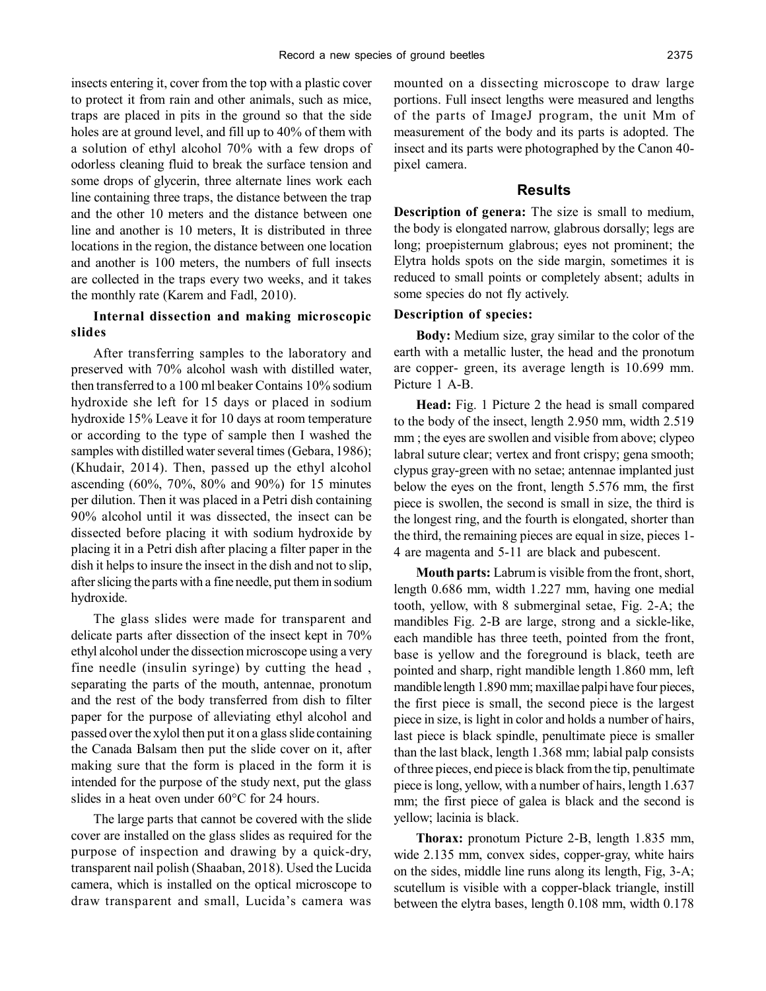insects entering it, cover from the top with a plastic cover to protect it from rain and other animals, such as mice, traps are placed in pits in the ground so that the side holes are at ground level, and fill up to 40% of them with a solution of ethyl alcohol 70% with a few drops of odorless cleaning fluid to break the surface tension and some drops of glycerin, three alternate lines work each line containing three traps, the distance between the trap and the other 10 meters and the distance between one line and another is 10 meters, It is distributed in three locations in the region, the distance between one location and another is 100 meters, the numbers of full insects are collected in the traps every two weeks, and it takes the monthly rate (Karem and Fadl, 2010).

## **Internal dissection and making microscopic slides**

After transferring samples to the laboratory and preserved with 70% alcohol wash with distilled water, then transferred to a 100 ml beaker Contains 10% sodium hydroxide she left for 15 days or placed in sodium hydroxide 15% Leave it for 10 days at room temperature or according to the type of sample then I washed the samples with distilled water several times (Gebara, 1986); (Khudair, 2014). Then, passed up the ethyl alcohol ascending (60%, 70%, 80% and 90%) for 15 minutes per dilution. Then it was placed in a Petri dish containing 90% alcohol until it was dissected, the insect can be dissected before placing it with sodium hydroxide by placing it in a Petri dish after placing a filter paper in the dish it helps to insure the insect in the dish and not to slip, after slicing the parts with a fine needle, put them in sodium hydroxide.

The glass slides were made for transparent and delicate parts after dissection of the insect kept in 70% ethyl alcohol under the dissection microscope using a very fine needle (insulin syringe) by cutting the head , separating the parts of the mouth, antennae, pronotum and the rest of the body transferred from dish to filter paper for the purpose of alleviating ethyl alcohol and passed over the xylol then put it on a glass slide containing the Canada Balsam then put the slide cover on it, after making sure that the form is placed in the form it is intended for the purpose of the study next, put the glass slides in a heat oven under 60°C for 24 hours.

The large parts that cannot be covered with the slide cover are installed on the glass slides as required for the purpose of inspection and drawing by a quick-dry, transparent nail polish (Shaaban, 2018). Used the Lucida camera, which is installed on the optical microscope to draw transparent and small, Lucida's camera was mounted on a dissecting microscope to draw large portions. Full insect lengths were measured and lengths of the parts of ImageJ program, the unit Mm of measurement of the body and its parts is adopted. The insect and its parts were photographed by the Canon 40 pixel camera.

#### **Results**

**Description of genera:** The size is small to medium, the body is elongated narrow, glabrous dorsally; legs are long; proepisternum glabrous; eyes not prominent; the Elytra holds spots on the side margin, sometimes it is reduced to small points or completely absent; adults in some species do not fly actively.

## **Description of species:**

**Body:** Medium size, gray similar to the color of the earth with a metallic luster, the head and the pronotum are copper- green, its average length is 10.699 mm. Picture 1 A-B.

**Head:** Fig. 1 Picture 2 the head is small compared to the body of the insect, length 2.950 mm, width 2.519 mm ; the eyes are swollen and visible from above; clypeo labral suture clear; vertex and front crispy; gena smooth; clypus gray-green with no setae; antennae implanted just below the eyes on the front, length 5.576 mm, the first piece is swollen, the second is small in size, the third is the longest ring, and the fourth is elongated, shorter than the third, the remaining pieces are equal in size, pieces 1- 4 are magenta and 5-11 are black and pubescent.

**Mouth parts:** Labrum is visible from the front, short, length 0.686 mm, width 1.227 mm, having one medial tooth, yellow, with 8 submerginal setae, Fig. 2-A; the mandibles Fig. 2-B are large, strong and a sickle-like, each mandible has three teeth, pointed from the front, base is yellow and the foreground is black, teeth are pointed and sharp, right mandible length 1.860 mm, left mandible length 1.890 mm; maxillae palpi have four pieces, the first piece is small, the second piece is the largest piece in size, is light in color and holds a number of hairs, last piece is black spindle, penultimate piece is smaller than the last black, length 1.368 mm; labial palp consists of three pieces, end piece is black from the tip, penultimate piece is long, yellow, with a number of hairs, length 1.637 mm; the first piece of galea is black and the second is yellow; lacinia is black.

**Thorax:** pronotum Picture 2-B, length 1.835 mm, wide 2.135 mm, convex sides, copper-gray, white hairs on the sides, middle line runs along its length, Fig, 3-A; scutellum is visible with a copper-black triangle, instill between the elytra bases, length 0.108 mm, width 0.178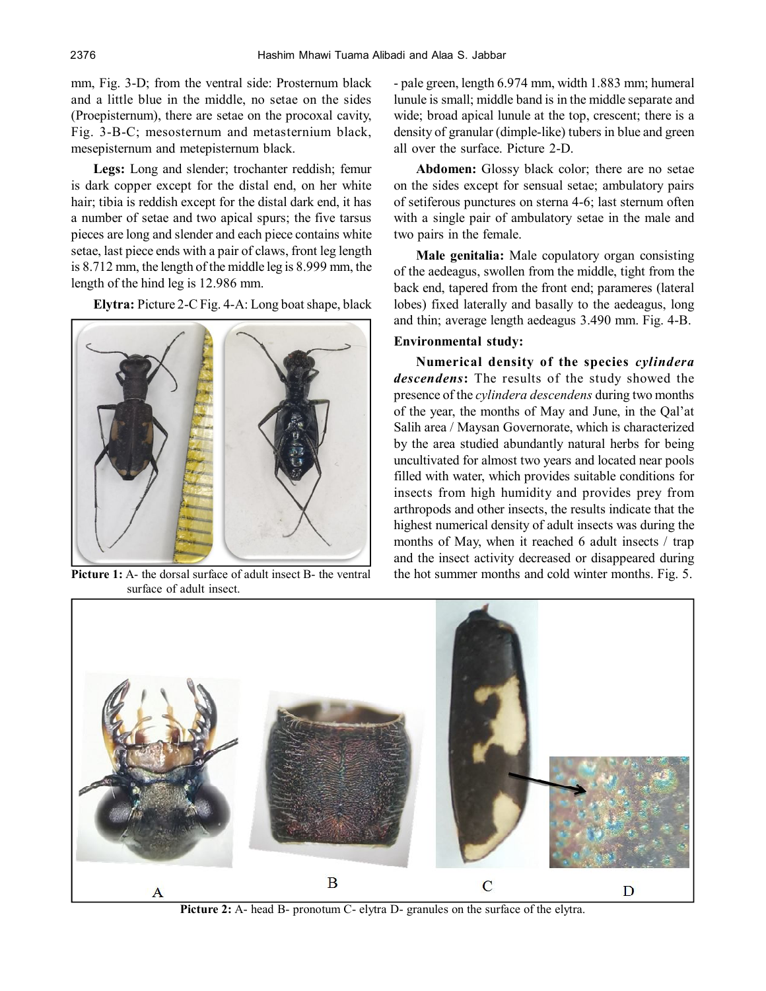mm, Fig. 3-D; from the ventral side: Prosternum black and a little blue in the middle, no setae on the sides (Proepisternum), there are setae on the procoxal cavity, Fig. 3-B-C; mesosternum and metasternium black, mesepisternum and metepisternum black.

**Legs:** Long and slender; trochanter reddish; femur is dark copper except for the distal end, on her white hair; tibia is reddish except for the distal dark end, it has a number of setae and two apical spurs; the five tarsus pieces are long and slender and each piece contains white setae, last piece ends with a pair of claws, front leg length is 8.712 mm, the length of the middle leg is 8.999 mm, the length of the hind leg is 12.986 mm.

**Elytra:** Picture 2-C Fig. 4-A: Long boat shape, black



surface of adult insect.

- pale green, length 6.974 mm, width 1.883 mm; humeral lunule is small; middle band is in the middle separate and wide; broad apical lunule at the top, crescent; there is a density of granular (dimple-like) tubers in blue and green all over the surface. Picture 2-D.

**Abdomen:** Glossy black color; there are no setae on the sides except for sensual setae; ambulatory pairs of setiferous punctures on sterna 4-6; last sternum often with a single pair of ambulatory setae in the male and two pairs in the female.

**Male genitalia:** Male copulatory organ consisting of the aedeagus, swollen from the middle, tight from the back end, tapered from the front end; parameres (lateral lobes) fixed laterally and basally to the aedeagus, long and thin; average length aedeagus 3.490 mm. Fig. 4-B.

## **Environmental study:**

**Numerical density of the species** *cylindera descendens***:** The results of the study showed the presence of the *cylindera descendens* during two months of the year, the months of May and June, in the Qal'at Salih area / Maysan Governorate, which is characterized by the area studied abundantly natural herbs for being uncultivated for almost two years and located near pools filled with water, which provides suitable conditions for insects from high humidity and provides prey from arthropods and other insects, the results indicate that the highest numerical density of adult insects was during the months of May, when it reached 6 adult insects / trap and the insect activity decreased or disappeared during **Picture 1:** A- the dorsal surface of adult insect B- the ventral the hot summer months and cold winter months. Fig. 5.



**Picture 2:** A- head B- pronotum C- elytra D- granules on the surface of the elytra.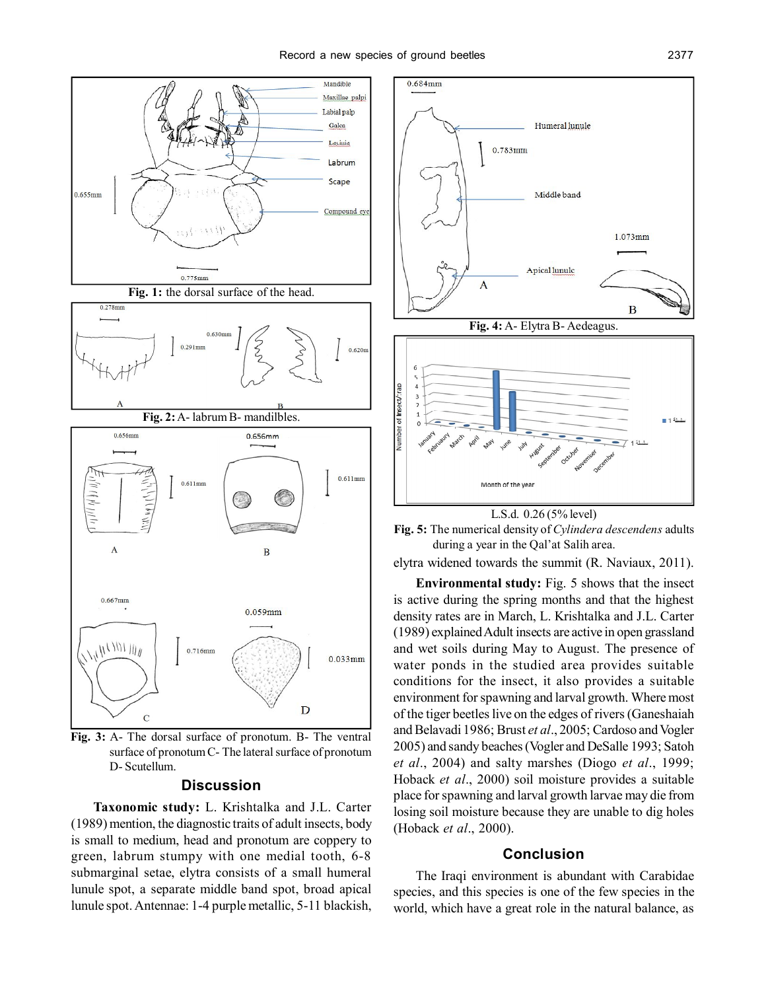

**Fig. 3:** A- The dorsal surface of pronotum. B- The ventral surface of pronotum C- The lateral surface of pronotum D- Scutellum.

#### **Discussion**

**Taxonomic study:** L. Krishtalka and J.L. Carter (1989) mention, the diagnostic traits of adult insects, body is small to medium, head and pronotum are coppery to green, labrum stumpy with one medial tooth, 6-8 submarginal setae, elytra consists of a small humeral lunule spot, a separate middle band spot, broad apical lunule spot. Antennae: 1-4 purple metallic, 5-11 blackish,



**Fig. 5:** The numerical density of *Cylindera descendens* adults during a year in the Qal'at Salih area.

elytra widened towards the summit (R. Naviaux, 2011).

**Environmental study:** Fig. 5 shows that the insect is active during the spring months and that the highest density rates are in March, L. Krishtalka and J.L. Carter (1989) explained Adult insects are active in open grassland and wet soils during May to August. The presence of water ponds in the studied area provides suitable conditions for the insect, it also provides a suitable environment for spawning and larval growth. Where most of the tiger beetles live on the edges of rivers (Ganeshaiah and Belavadi 1986; Brust *et al*., 2005; Cardoso and Vogler 2005) and sandy beaches (Vogler and DeSalle 1993; Satoh *et al*., 2004) and salty marshes (Diogo *et al*., 1999; Hoback *et al*., 2000) soil moisture provides a suitable place for spawning and larval growth larvae may die from losing soil moisture because they are unable to dig holes (Hoback *et al*., 2000).

## **Conclusion**

The Iraqi environment is abundant with Carabidae species, and this species is one of the few species in the world, which have a great role in the natural balance, as